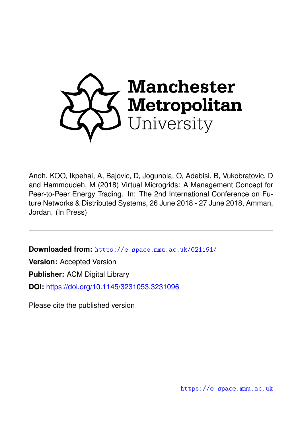

Anoh, KOO, Ikpehai, A, Bajovic, D, Jogunola, O, Adebisi, B, Vukobratovic, D and Hammoudeh, M (2018) Virtual Microgrids: A Management Concept for Peer-to-Peer Energy Trading. In: The 2nd International Conference on Future Networks & Distributed Systems, 26 June 2018 - 27 June 2018, Amman, Jordan. (In Press)

**Downloaded from:** <https://e-space.mmu.ac.uk/621191/>

**Version:** Accepted Version

**Publisher:** ACM Digital Library

**DOI:** <https://doi.org/10.1145/3231053.3231096>

Please cite the published version

<https://e-space.mmu.ac.uk>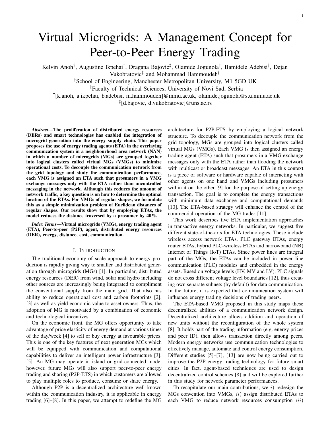# Virtual Microgrids: A Management Concept for Peer-to-Peer Energy Trading

Kelvin Anoh<sup>†</sup>, Augustine Ikpehai<sup>†</sup>, Dragana Bajovic<sup>‡</sup>, Olamide Jogunola<sup>†</sup>, Bamidele Adebisi<sup>†</sup>, Dejan

Vukobratovic<sup>‡</sup> and Mohammad Hammoudeh<sup>†</sup>

†School of Engineering, Manchester Metropolitan University, M1 5GD UK

‡Faculty of Technical Sciences, University of Novi Sad, Serbia

† [k.anoh, a.ikpehai, b.adebisi, m.hammoudeh]@mmu.ac.uk, olamide.jogunola@stu.mmu.ac.uk

‡ [d.bajovic, d.vukobratovic]@uns.ac.rs

*Abstract*—The proliferation of distributed energy resources (DERs) and smart technologies has enabled the integration of microgrid generation into the energy supply chain. This paper proposes the use of energy trading agents (ETA) in the overlaying communication system in a neighbourhood area network (NAN) in which a number of microgrids (MGs) are grouped together into logical clusters called virtual MGs (VMGs) to minimize operational costs. To decouple the communication network from the grid topology and study the communication performance, each VMG is assigned an ETA such that prosumers in a VMG exchange messages only with the ETA rather than uncontrolled messaging in the network. Although this reduces the amount of network traffic, a key question is on how to determine the optimal location of the ETAs. For VMGs of regular shapes, we formulate this as a simple minimization problem of Euclidean distances of regular shapes. Our results show that by employing ETAs, the model reduces the distance traversed by a prosumer by 40%.

*Index Terms*—Virtual microgrids (VMG), energy trading agent (ETA), Peer-to-peer (P2P), agent, distributed energy resources (DER), energy, distance, cost, communication.

#### I. INTRODUCTION

The traditional economy of scale approach to energy production is rapidly giving way to smaller and distributed generation through microgrids (MGs) [1]. In particular, distributed energy resources (DER) from wind, solar and hydro including other sources are increasingly being integrated to compliment the conventional supply from the main grid. That also has ability to reduce operational cost and carbon footprints [2], [3] as well as yield economic value to asset owners. Thus, the adoption of MG is motivated by a combination of economic and technological incentives.

On the economic front, the MG offers opportunity to take advantage of price elasticity of energy demand at various times of the day/week [4] to sell or buy energy at favourable prices. This is one of the key features of next generation MGs which will be equipped with communication and computational capabilities to deliver an intelligent power infrastructure [3], [5]. An MG may operate in island or grid-connected mode, however, future MGs will also support peer-to-peer energy trading and sharing (P2P-ETS) in which customers are allowed to play multiple roles to produce, consume or share energy.

Although P2P is a decentralized architecture well known within the communication industry, it is applicable in energy trading [6]–[8]. In this paper, we attempt to redefine the MG architecture for P2P-ETS by employing a logical network structure. To decouple the communication network from the grid topology, MGs are grouped into logical clusters called virtual MGs (VMGs). Each VMG is then assigned an energy trading agent (ETA) such that prosumers in a VMG exchange messages only with the ETA rather than flooding the network with multicast or broadcast messages. An ETA in this context is a piece of software or hardware capable of interacting with other agents on one hand and VMGs including prosumers within it on the other [9] for the purpose of setting up energy transaction. The goal is to complete the energy transactions with minimum data exchange and computational demands [10]. The ETA-based strategy will enhance the control of the commercial operation of the MG trader [11].

This work describes five ETA implementation approaches in transactive energy networks. In particular, we suggest five different state-of-the-arts for ETA technologies. These include wireless access network ETAs, PLC gateway ETAs, energy router ETAs, hybrid PLC-wireless ETAs and narrowband (NB) Internet of Things (IoT) ETAs. Since power lines are integral part of the MGs, the ETAs can be included in power line communication (PLC) modules and embedded in the energy assets. Based on voltage levels (HV, MV and LV), PLC signals do not cross different voltage level boundaries [12], thus creating own separate subnets (by default) for data communication. In the future, it is expected that communication system will influence energy trading decisions of trading peers.

The ETA-based VMG proposed in this study maps these decentralized abilities of a communication network design. Decentralized architecture allows addition and operation of new units without the reconfiguration of the whole system [8]. It holds part of the trading information (e.g. energy prices and peer ID), then allows transaction directly among peers. Modern energy networks use communication technologies to effectively manage, automate and control energy consumption. Different studies [5]–[7], [13] are now being carried out to improve the P2P energy trading technology for future smart cities. In fact, agent-based techniques are used to design decentralized control schemes [8] and will be explored further in this study for network parameter performances.

To recapitulate our main contributions, we  $i$ ) redesign the MGs convention into VMGs, ii) assign distributed ETAs to each VMG to reduce network resources consumption  $iii)$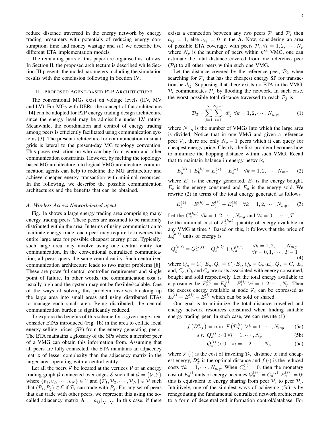reduce distance traversed in the energy network by energy trading prosumers with potentials of reducing energy consumption, time and money wastage and  $iv$ ) we describe five different ETA implementation models.

The remaining parts of this paper are organised as follows. In Section II, the proposed architecture is described while Section III presents the model parameters including the simulation results with the conclusion following in Section IV.

## II. PROPOSED AGENT-BASED P2P ARCHITECTURE

The conventional MGs exist on voltage levels (HV, MV and LV). For MGs with DERs, the concept of flat architecture [14] can be adopted for P2P energy trading design architecture since the energy level may be admissible under LV rating. Meanwhile, the coordination and control of energy trading among peers is efficiently facilitated using communication systems [3]. The present architecture for communication in smart grids is lateral to the present-day MG topology convention. This poses restriction on who can buy from whom and other communication constraints. However, by melting the topologybased MG architecture into logical VMG architecture, communication agents can help to redefine the MG architecture and achieve cheaper energy transaction with minimal resources. In the following, we describe the possible communication architectures and the benefits that can be obtained.

## *A. Wireless Access Network-based agent*

Fig. 1a shows a large energy trading area comprising many energy trading peers. These peers are assumed to be randomly distributed within the area. In terms of using communication to facilitate energy trade, each peer may require to traverses the entire large area for possible cheapest energy price. Typically, such large area may involve using one central entity for communication. In the conventional centralized communication, all peers query the same central entity. Such centralized communication architecture leads to two major problems [8]. These are powerful central controller requirement and single point of failure. In other words, the communication cost is usually high and the system may not be flexible/scalable. One of the ways of solving this problem involves breaking up the large area into small areas and using distributed ETAs to manage each small area. Being distributed, the central communication burden is significantly reduced.

To explore the benefits of this scheme for a given large area, consider ETAs introduced (Fig. 1b) in the area to collate local energy selling prices (SP) from the energy generating peers. The ETA maintains a glossary of the SPs where a member peer of a VMG can obtain this information from. Assuming that all peers are fully connected, the ETA maintains an adjacency matrix of lesser complexity than the adjacency matrix in the larger area operating with a central entity.

Let all the peers  $P$  be located at the vertices  $V$  of an energy trading graph G connected over edges  $\mathcal E$  such that  $\mathcal G = \{ \mathcal V, \mathcal E \}$ where  $\{v_1, v_2, \dots, v_N\} \in V$  and  $\{\mathcal{P}_1, \mathcal{P}_2, \dots, \mathcal{P}_N\} \in \mathcal{P}$  such that  $(\mathcal{P}_i, \mathcal{P}_j) \in \mathcal{E}$  if  $\mathcal{P}_i$  can trade with  $\mathcal{P}_j$ . For any set of peers that can trade with other peers, we represent this using the socalled adjacency matrix  $\mathbf{A} = [a_{ij}]_{N \times N}$ . In this case, if there

of possible ETA coverage, with peers  $\mathcal{P}_i, \forall i = 1, 2, \cdots, N_p$ where  $N_p$  is the number of peers within  $k^{th}$  VMG, one can estimate the total distance covered from one reference peer  $(\mathcal{P}_i)$  to all other peers within such one VMG.

Let the distance covered by the reference peer,  $P_i$ , when searching for  $P_j$  that has the cheapest energy SP for transaction be  $d_{ij}$ . Supposing that there exists no ETA in the VMG,  $P_i$  communicates  $P_j$  by flooding the network. In such case, the worst possible total distance traversed to reach  $P_i$  is

$$
\mathcal{D}_T = \sum_{j=1}^{N_p} \sum_{i=1}^{N_p-1} d_{ij}^k \ \forall k = 1, 2, \cdots, N_{mg}, \tag{1}
$$

where  $N_{mg}$  is the number of VMGs into which the large area is divided. Notice that in one VMG and given a reference peer  $\mathcal{P}_i$ , there are only  $N_p - 1$  peers which it can query for cheapest energy price. Clearly, the first problem becomes how to minimize the hopping distance within such VMG. Recall that to maintain balance in energy network,

$$
E_g^{(k)} + E_b^{(k)} = E_c^{(k)} + E_s^{(k)} \quad \forall k = 1, 2, \cdots, N_{mg} \tag{2}
$$

where  $E<sub>g</sub>$  is the energy generated,  $E<sub>b</sub>$  is the energy bought,  $E_c$  is the energy consumed and  $E_s$  is the energy sold. We rewrite (2) in terms of the total energy generated as follows

$$
E_g^{(k)} = E_c^{(k)} - E_b^{(k)} + E_s^{(k)} \quad \forall k = 1, 2, \cdots, N_{mg}.
$$
 (3)

Let the  $C_g^{(k,t)}$   $\forall k = 1, 2, \cdots, N_{mg}$  and  $\forall t = 0, 1, \cdots, T-1$ be the minimal cost of  $E_g^{(k,t)}$  quantity of energy available in any VMG at time  $t$ . Based on this, it follows that the price of  $E_g^{(k,t)}$  units of energy is

$$
Q_g^{(k,t)} = Q_c^{(k,t)} - Q_b^{(k,t)} + Q_s^{(k,t)} \qquad \forall k = 1, 2, \cdots, N_{mg} \n\forall t = 0, 1, \cdots, T-1
$$
\n(4)

where  $Q_q = C_q \cdot E_q$ ,  $Q_c = C_c \cdot E_c$ ,  $Q_b = C_b \cdot E_b$ ,  $Q_s = C_s \cdot E_s$ and,  $C_c$ ,  $C_b$  and  $C_s$  are costs associated with energy consumed, bought and sold respectively. Let the total energy available to a prosumer be  $E_a^{(i)} = E_g^{(i)} + E_b^{(i)}$  $b_i^{(i)}$   $\forall i = 1, 2, \cdots, N_p$ . Then the excess energy available at node  $\mathcal{P}_i$  can be expressed as  $E_e^{(i)} = E_a^{(i)} - \overline{E}_c^{(i)}$  which can be sold or shared.

Our goal is to minimize the total distance travelled and energy network resources consumed when finding suitable energy trading peer. In such case, we can rewrite (1)

$$
f\left(\mathcal{D}_{T,k}^o\right) = \min \mathcal{F}\left(\mathcal{D}_T^k\right) \forall k = 1, \cdots, N_{mg} \qquad (5a)
$$

$$
s.t. \ Q_a^{(i)} > 0 \ \forall i = 1, \cdots, N_p \tag{5b}
$$

$$
Q_e^{(i)} > 0 \quad \forall i = 1, 2, \cdots, N_p \tag{5c}
$$

where  $\mathcal{F}(\cdot)$  is the cost of traveling  $\mathcal{D}_T$  distance to find cheapest energy,  $\mathcal{D}_{T}^{\circ}$  is the optimal distance and  $f(\cdot)$  is the reduced costs  $\forall k = 1, \dots, N_{mg}$ . When  $C_a^{(i)} = 0$ , then the monetary cost of  $E_a^{(i)}$  units of energy becomes  $Q_a^{(ij)} = C_a^{(ij)} \cdot E_a^{(ij)} = 0$ ; this is equivalent to energy sharing from peer  $P_i$  to peer  $P_j$ . Intuitively, one of the simplest ways of achieving (5c) is by renegotiating the fundamental centralized network architecture to a form of decentralized information control/database. For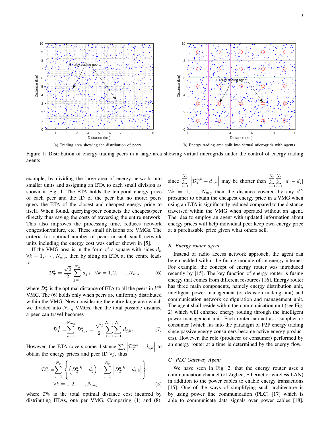

Figure 1: Distribution of energy trading peers in a large area showing virtual microgrids under the control of energy trading agents

example, by dividing the large area of energy network into smaller units and assigning an ETA to each small division as shown in Fig. 1. The ETA holds the temporal energy price of each peer and the ID of the peer but no more; peers query the ETA of the closest and cheapest energy price to itself. When found, querying-peer contacts the cheapest-peer directly thus saving the costs of traversing the entire network. This also improves the processing time, reduces network congestion/failure, etc. These small divisions are VMGs. The criteria for optimal number of peers in such small network units including the energy cost was earlier shown in [5].

If the VMG area is in the form of a square with sides  $d_k$  $\forall k = 1, \dots, N_{m,q}$ , then by siting an ETA at the centre leads to

$$
\mathcal{D}_T^a = \frac{\sqrt{2}}{2} \sum_{j=1}^{N_p} d_{j,k} \quad \forall k = 1, 2, \cdots, N_{mg}
$$
 (6)

where  $\mathcal{D}_T^a$  is the optimal distance of ETA to all the peers in  $k^{th}$ VMG. The (6) holds only when peers are uniformly distributed within the VMG. Now considering the entire large area which we divided into  $N_{mg}$  VMGs, then the total possible distance a peer can travel becomes

$$
\mathcal{D}_T^A = \sum_{k=1}^{N_{mg}} \mathcal{D}_{T,k}^a = \frac{\sqrt{2}}{2} \sum_{k=1}^{N_{mg}} \sum_{j=1}^{N_p} d_{j,k}.
$$
 (7)

However, the ETA covers some distance  $\sum_i |\mathcal{D}_T^{a,k} - d_{i,k}|$  to obtain the energy prices and peer ID  $\forall j$ , thus

$$
\mathcal{D}_{T}^{o} = \sum_{j=1}^{N_{p}} \left\{ \left( \mathcal{D}_{T}^{a,k} - d_{j} \right) + \sum_{i=1}^{N_{p}} \left| \mathcal{D}_{T}^{a,k} - d_{i,k} \right| \right\}
$$
  

$$
\forall k = 1, 2, \cdots, N_{mg}
$$
 (8)

where  $\mathcal{D}_T^o$  is the total optimal distance cost incurred by distributing ETAs, one per VMG. Comparing (1) and (8),

since  $\sum_{p}^{N_p}$  $j=1$  $\left| \mathcal{D}^{a,k}_{T} - d_{j,k} \right|$  may be shorter than  $\sum_{j=1}^{N_p}$  $j=1$  $\frac{N_p}{\sum}$  $\sum_{i=1} |d_i - d_j|$  $\forall k = 1, \cdots, N_{mg}$  then the distance covered by any  $i^{th}$ prosumer to obtain the cheapest energy price in a VMG when using an ETA is significantly reduced compared to the distance traversed within the VMG when operated without an agent. The idea to employ an agent with updated information about energy prices will help individual peer keep own energy price at a purchasable price given what others sell.

#### *B. Energy router agent*

Instead of radio access network approach, the agent can be embedded within the fusing module of an energy internet. For example, the concept of energy router was introduced recently by [15]. The key function of energy router is fusing energy that comes from different resources [16]. Energy router has three main components, namely energy distribution unit, intelligent power management (or decision making unit) and communication network configuration and management unit. The agent shall reside within the communication unit (see Fig. 2) which will enhance energy routing through the intelligent power management unit. Each router can act as a supplier or consumer (which fits into the paradigm of P2P energy trading since passive energy consumers become active energy producers). However, the role (producer or consumer) performed by an energy router at a time is determined by the energy flow.

## *C. PLC Gateway Agent*

We have seen in Fig. 2, that the energy router uses a communication channel (of Zigbee, Ethernet or wireless LAN) in addition to the power cables to enable energy transactions [15]. One of the ways of simplifying such architecture is by using power line communication (PLC) [17] which is able to communicate data signals over power cables [18].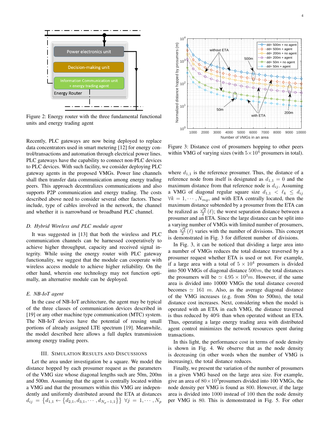

Figure 2: Energy router with the three fundamental functional units and energy trading agent

Recently, PLC gateways are now being deployed to replace data concentrators used in smart metering [12] for energy control/transactions and automation through electrical power lines. PLC gateways have the capability to connect non-PLC devices to PLC devices. With such facility, we consider deploying PLC gateway agents in the proposed VMGs. Power line channels shall then transfer data communication among energy trading peers. This approach decentralizes communications and also supports P2P communication and energy trading. The costs described above need to consider several other factors. These include, type of cables involved in the network, the channel and whether it is narrowband or broadband PLC channel.

#### *D. Hybrid Wireless and PLC module agent*

It was suggested in [13] that both the wireless and PLC communication channels can be harnessed cooperatively to achieve higher throughput, capacity and received signal integrity. While using the energy router with PLC gateway functionality, we suggest that the module can cooperate with wireless access module to achieve higher reliability. On the other hand, wherein one technology may not function optimally, an alternative module can be deployed.

## *E. NB-IoT agent*

In the case of NB-IoT architecture, the agent may be typical of the three classes of communication devices described in [19] or any other machine type communication (MTC) system. The NB-IoT devices have the potential of reusing small portions of already assigned LTE spectrum [19]. Meanwhile, the model described here allows a full duplex transmission among energy trading peers.

#### III. SIMULATION RESULTS AND DISCUSSIONS

Let the area under investigation be a square. We model the distance hopped by each prosumer request as the parameters of the VMG size whose diagonal lengths such are 50m, 200m and 500m. Assuming that the agent is centrally located within a VMG and that the prosumers within this VMG are independently and uniformly distributed around the ETA at distances  $d_{ij} = \{d_{1,1} \leftarrow \{d_{2,1}, d_{3,1}, \cdots, d_{N_p-1,1}\}\} \forall j = 1, \cdots, N_p$ 



Figure 3: Distance cost of prosumers hopping to other peers within VMG of varying sizes (with  $5 \times 10^4$  prosumers in total).

where  $d_{1,1}$  is the reference prosumer. Thus, the distance of a reference node from itself is designated as  $d_{1,1} = 0$  and the maximum distance from that reference node is  $d_{ij}$ . Assuming a VMG of diagonal regular square size  $d_{1,1} < \ell_k \leq d_{ij}$  $\forall k = 1, \dots, N_{mg}$ , and with ETA centrally located, then the maximum distance subtended by a prosumer from the ETA can be realized as  $\frac{\sqrt{2}}{2}$  ( $\ell$ ); the worst separation distance between a prosumer and an ETA. Since the large distance can be split into a varying number of VMGs with limited number of prosumers, then  $\frac{\sqrt{2}}{2}$  ( $\ell$ ) varies with the number of divisions. This concept is demonstrated in Fig. 3 for different number of divisions.

In Fig. 3, it can be noticed that dividing a large area into a number of VMGs reduces the total distance traversed by a prosumer request whether ETA is used or not. For example, if a large area with a total of  $5 \times 10^4$  prosumers is divided into 500 VMGs of diagonal distance  $500m$ , the total distances the prosumers will be  $\simeq 4.95 \times 10^3 m$ . However, if the same area is divided into 10000 VMGs the total distance covered becomes  $\simeq$  161 m. Also, as the average diagonal distance of the VMG increases (e.g. from 50m to 500m), the total distance cost increases. Next, considering when the model is operated with an ETA in each VMG, the distance traversed is thus reduced by 40% than when operated without an ETA. Thus, operating a large energy trading area with distributed agent control minimizes the network resources spent during transactions.

In this light, the performance cost in terms of node density is shown in Fig. 4. We observe that as the node density is decreasing (in other words when the number of VMG is increasing), the total distance reduces.

Finally, we present the variation of the number of prosumers in a given VMG based on the large area size. For example, give an area of  $80 \times 10^3$  prosumers divided into 100 VMGs, the node density per VMG is found as 800. However, if the large area is divided into 1000 instead of 100 then the node density per VMG is 80. This is demonstrated in Fig. 5. For other